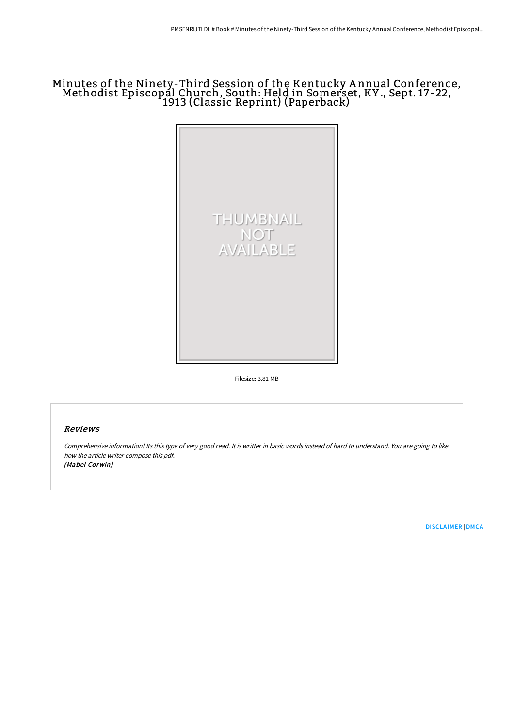# Minutes of the Ninety-Third Session of the Kentucky <sup>A</sup> nnual Conference, Methodist Episcopal Church, South: Held in Somerset, KY ., Sept. 17-22, 1913 (Classic Reprint) (Paperback)



Filesize: 3.81 MB

## Reviews

Comprehensive information! Its this type of very good read. It is writter in basic words instead of hard to understand. You are going to like how the article writer compose this pdf. (Mabel Corwin)

[DISCLAIMER](http://digilib.live/disclaimer.html) | [DMCA](http://digilib.live/dmca.html)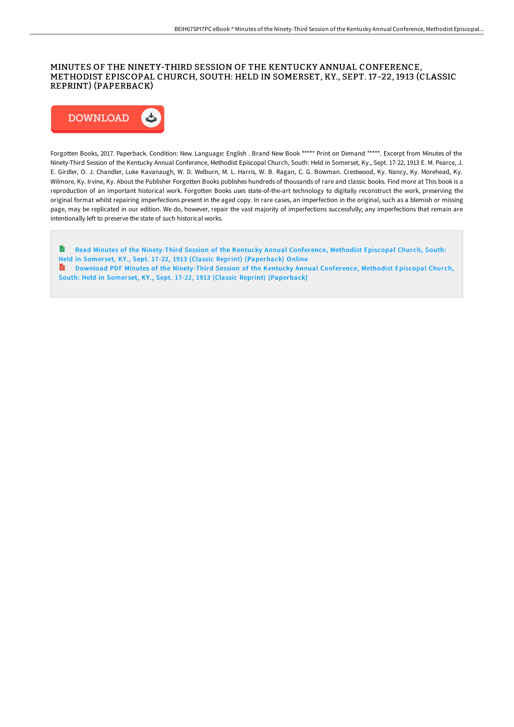#### MINUTES OF THE NINETY-THIRD SESSION OF THE KENTUCKY ANNUAL CONFERENCE, METHODIST EPISCOPAL CHURCH, SOUTH: HELD IN SOMERSET, KY., SEPT. 17 -22, 1913 (CLASSIC REPRINT) (PAPERBACK)



Forgotten Books, 2017. Paperback. Condition: New. Language: English . Brand New Book \*\*\*\*\* Print on Demand \*\*\*\*\*. Excerpt from Minutes of the Ninety-Third Session of the Kentucky Annual Conference, Methodist Episcopal Church, South: Held in Somerset, Ky., Sept. 17-22, 1913 E. M. Pearce, J. E. Girdler, O. J. Chandler, Luke Kavanaugh, W. D. Welburn, M. L. Harris, W. B. Ragan, C. G. Bowman. Crestwood, Ky. Nancy, Ky. Morehead, Ky. Wilmore, Ky. Irvine, Ky. About the Publisher Forgotten Books publishes hundreds of thousands of rare and classic books. Find more at This book is a reproduction of an important historical work. Forgotten Books uses state-of-the-art technology to digitally reconstruct the work, preserving the original format whilst repairing imperfections present in the aged copy. In rare cases, an imperfection in the original, such as a blemish or missing page, may be replicated in our edition. We do, however, repair the vast majority of imperfections successfully; any imperfections that remain are intentionally left to preserve the state of such historical works.

B Read Minutes of the [Ninety-Third](http://digilib.live/minutes-of-the-ninety-third-session-of-the-kentu.html) Session of the Kentucky Annual Conference, Methodist Episcopal Church, South: Held in Somer set, KY., Sept. 17-22, 1913 (Classic Reprint) (Paperback) Online Download PDF Minutes of the [Ninety-Third](http://digilib.live/minutes-of-the-ninety-third-session-of-the-kentu.html) Session of the Kentucky Annual Conference, Methodist Episcopal Church, South: Held in Somerset, KY., Sept. 17-22, 1913 (Classic Reprint) (Paperback)